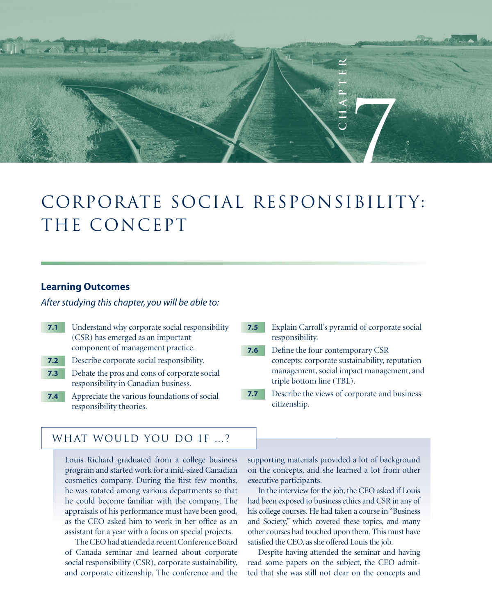

# Corporate Social Responsibility: The Concept

# **Learning Outcomes**

*After studying this chapter, you will be able to:*

- **7.1** Understand why corporate social responsibility (CSR) has emerged as an important component of management practice.
- **7.2** Describe corporate social responsibility.
- **7.3** Debate the pros and cons of corporate social responsibility in Canadian business.
- **7.4** Appreciate the various foundations of social responsibility theories.
- **7.5** Explain Carroll's pyramid of corporate social responsibility.

**7.6** Define the four contemporary CSR concepts: corporate sustainability, reputation management, social impact management, and triple bottom line (TBL).

**7.7** Describe the views of corporate and business citizenship.

# what would you do if …?

Louis Richard graduated from a college business program and started work for a mid-sized Canadian cosmetics company. During the first few months, he was rotated among various departments so that he could become familiar with the company. The appraisals of his performance must have been good, as the CEO asked him to work in her office as an assistant for a year with a focus on special projects.

The CEO had attended a recent Conference Board of Canada seminar and learned about corporate social responsibility (CSR), corporate sustainability, and corporate citizenship. The conference and the supporting materials provided a lot of background on the concepts, and she learned a lot from other executive participants.

In the interview for the job, the CEO asked if Louis had been exposed to business ethics and CSR in any of his college courses. He had taken a course in "Business and Society," which covered these topics, and many other courses had touched upon them. This must have satisfied the CEO, as she offered Louis the job.

Despite having attended the seminar and having read some papers on the subject, the CEO admitted that she was still not clear on the concepts and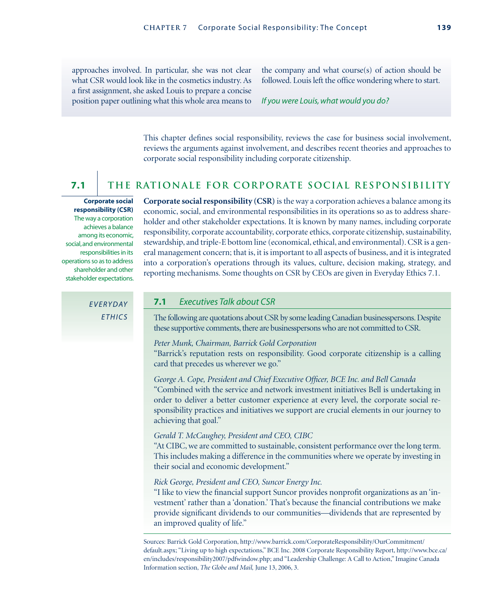approaches involved. In particular, she was not clear what CSR would look like in the cosmetics industry. As a first assignment, she asked Louis to prepare a concise position paper outlining what this whole area means to the company and what course(s) of action should be followed. Louis left the office wondering where to start.

*If you were Louis, what would you do?*

This chapter defines social responsibility, reviews the case for business social involvement, reviews the arguments against involvement, and describes recent theories and approaches to corporate social responsibility including corporate citizenship.

# **7.1 The Rationale for Corporate Social Responsibility**

**Corporate social responsibility (CSR)** The way a corporation achieves a balance among its economic, social, and environmental responsibilities in its operations so as to address shareholder and other stakeholder expectations.

**Corporate social responsibility (CSR)** is the way a corporation achieves a balance among its economic, social, and environmental responsibilities in its operations so as to address shareholder and other stakeholder expectations. It is known by many names, including corporate responsibility, corporate accountability, corporate ethics, corporate citizenship, sustainability, stewardship, and triple-E bottom line (economical, ethical, and environmental). CSR is a general management concern; that is, it is important to all aspects of business, and it is integrated into a corporation's operations through its values, culture, decision making, strategy, and reporting mechanisms. Some thoughts on CSR by CEOs are given in Everyday Ethics 7.1.

# *EVERYDAY ETHICS*

#### **7.1** *Executives Talk about CSR*

The following are quotations about CSR by some leading Canadian businesspersons. Despite these supportive comments, there are businesspersons who are not committed to CSR.

#### *Peter Munk, Chairman, Barrick Gold Corporation*

"Barrick's reputation rests on responsibility. Good corporate citizenship is a calling card that precedes us wherever we go."

George A. Cope, President and Chief Executive Officer, BCE Inc. and Bell Canada

"Combined with the service and network investment initiatives Bell is undertaking in order to deliver a better customer experience at every level, the corporate social responsibility practices and initiatives we support are crucial elements in our journey to achieving that goal."

# *Gerald T. McCaughey, President and CEO, CIBC*

"At CIBC, we are committed to sustainable, consistent performance over the long term. This includes making a difference in the communities where we operate by investing in their social and economic development."

#### *Rick George, President and CEO, Suncor Energy Inc.*

"I like to view the financial support Suncor provides nonprofit organizations as an 'investment' rather than a 'donation.' That's because the financial contributions we make provide significant dividends to our communities—dividends that are represented by an improved quality of life."

Sources: Barrick Gold Corporation, http://www.barrick.com/CorporateResponsibility/OurCommitment/ default.aspx; "Living up to high expectations," BCE Inc. 2008 Corporate Responsibility Report, http://www.bce.ca/ en/includes/responsibility2007/pdfwindow.php; and "Leadership Challenge: A Call to Action," Imagine Canada Information section, *The Globe and Mail,* June 13, 2006, 3.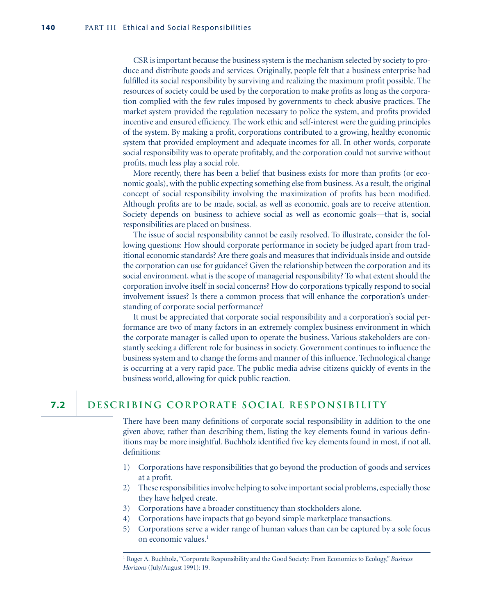CSR is important because the business system is the mechanism selected by society to produce and distribute goods and services. Originally, people felt that a business enterprise had fulfilled its social responsibility by surviving and realizing the maximum profit possible. The resources of society could be used by the corporation to make profits as long as the corporation complied with the few rules imposed by governments to check abusive practices. The market system provided the regulation necessary to police the system, and profits provided incentive and ensured efficiency. The work ethic and self-interest were the guiding principles of the system. By making a profit, corporations contributed to a growing, healthy economic system that provided employment and adequate incomes for all. In other words, corporate social responsibility was to operate profitably, and the corporation could not survive without profits, much less play a social role.

More recently, there has been a belief that business exists for more than profits (or economic goals), with the public expecting something else from business. As a result, the original concept of social responsibility involving the maximization of profits has been modified. Although profits are to be made, social, as well as economic, goals are to receive attention. Society depends on business to achieve social as well as economic goals—that is, social responsibilities are placed on business.

The issue of social responsibility cannot be easily resolved. To illustrate, consider the following questions: How should corporate performance in society be judged apart from traditional economic standards? Are there goals and measures that individuals inside and outside the corporation can use for guidance? Given the relationship between the corporation and its social environment, what is the scope of managerial responsibility? To what extent should the corporation involve itself in social concerns? How do corporations typically respond to social involvement issues? Is there a common process that will enhance the corporation's understanding of corporate social performance?

It must be appreciated that corporate social responsibility and a corporation's social performance are two of many factors in an extremely complex business environment in which the corporate manager is called upon to operate the business. Various stakeholders are constantly seeking a different role for business in society. Government continues to influence the business system and to change the forms and manner of this influence. Technological change is occurring at a very rapid pace. The public media advise citizens quickly of events in the business world, allowing for quick public reaction.

# **7.2 Describing Corporate Social Responsibility**

There have been many definitions of corporate social responsibility in addition to the one given above; rather than describing them, listing the key elements found in various definitions may be more insightful. Buchholz identified five key elements found in most, if not all, definitions:

- 1) Corporations have responsibilities that go beyond the production of goods and services at a profit.
- 2) These responsibilities involve helping to solve important social problems, especially those they have helped create.
- 3) Corporations have a broader constituency than stockholders alone.
- 4) Corporations have impacts that go beyond simple marketplace transactions.
- 5) Corporations serve a wider range of human values than can be captured by a sole focus on economic values.<sup>1</sup>

<sup>1</sup> Roger A. Buchholz, "Corporate Responsibility and the Good Society: From Economics to Ecology," *Business Horizons* (July/August 1991): 19.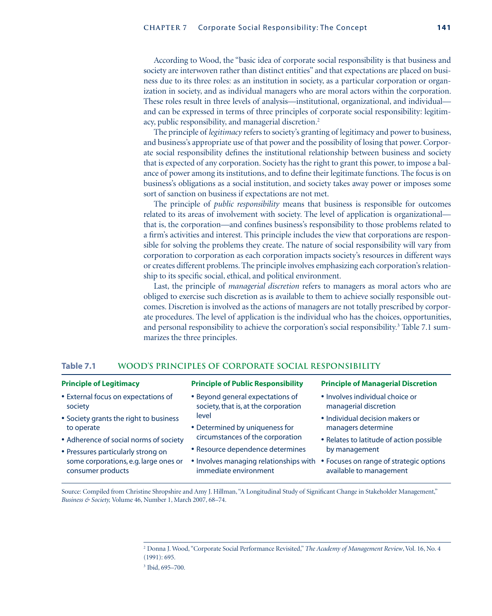According to Wood, the "basic idea of corporate social responsibility is that business and society are interwoven rather than distinct entities" and that expectations are placed on business due to its three roles: as an institution in society, as a particular corporation or organization in society, and as individual managers who are moral actors within the corporation. These roles result in three levels of analysis—institutional, organizational, and individual and can be expressed in terms of three principles of corporate social responsibility: legitimacy, public responsibility, and managerial discretion.2

The principle of *legitimacy* refers to society's granting of legitimacy and power to business, and business's appropriate use of that power and the possibility of losing that power. Corporate social responsibility defines the institutional relationship between business and society that is expected of any corporation. Society has the right to grant this power, to impose a balance of power among its institutions, and to define their legitimate functions. The focus is on business's obligations as a social institution, and society takes away power or imposes some sort of sanction on business if expectations are not met.

The principle of *public responsibility* means that business is responsible for outcomes related to its areas of involvement with society. The level of application is organizational that is, the corporation—and confines business's responsibility to those problems related to a firm's activities and interest. This principle includes the view that corporations are responsible for solving the problems they create. The nature of social responsibility will vary from corporation to corporation as each corporation impacts society's resources in different ways or creates different problems. The principle involves emphasizing each corporation's relationship to its specific social, ethical, and political environment.

Last, the principle of *managerial discretion* refers to managers as moral actors who are obliged to exercise such discretion as is available to them to achieve socially responsible outcomes. Discretion is involved as the actions of managers are not totally prescribed by corporate procedures. The level of application is the individual who has the choices, opportunities, and personal responsibility to achieve the corporation's social responsibility.<sup>3</sup> Table 7.1 summarizes the three principles.

| Table 7.1 | WOOD'S PRINCIPLES OF CORPORATE SOCIAL RESPONSIBILITY |
|-----------|------------------------------------------------------|
|-----------|------------------------------------------------------|

| <b>Principle of Legitimacy</b>                             | <b>Principle of Public Responsibility</b>                                   | <b>Principle of Managerial Discretion</b>                          |
|------------------------------------------------------------|-----------------------------------------------------------------------------|--------------------------------------------------------------------|
| • External focus on expectations of<br>society             | • Beyond general expectations of<br>society, that is, at the corporation    | • Involves individual choice or<br>managerial discretion           |
| • Society grants the right to business<br>to operate       | level<br>• Determined by uniqueness for<br>circumstances of the corporation | • Individual decision makers or<br>managers determine              |
| • Adherence of social norms of society                     |                                                                             | • Relates to latitude of action possible                           |
| • Pressures particularly strong on                         | • Resource dependence determines                                            | by management                                                      |
| some corporations, e.g. large ones or<br>consumer products | • Involves managing relationships with<br>immediate environment             | • Focuses on range of strategic options<br>available to management |

Source: Compiled from Christine Shropshire and Amy J. Hillman, "A Longitudinal Study of Significant Change in Stakeholder Management," *Business & Society,* Volume 46, Number 1, March 2007, 68–74.

<sup>2</sup> Donna J. Wood, "Corporate Social Performance Revisited," *The Academy of Management Review*, Vol. 16, No. 4 (1991): 695.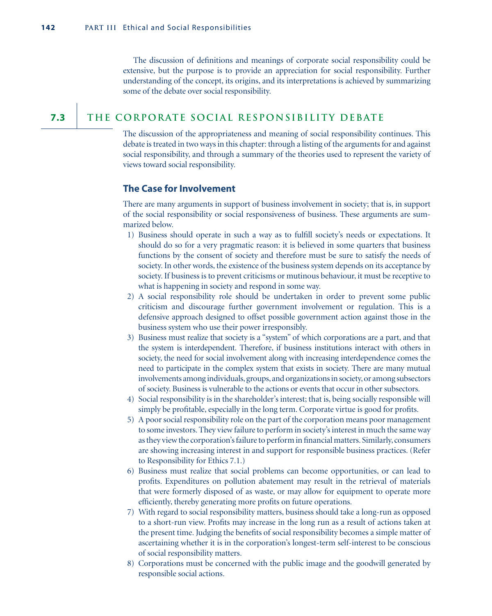The discussion of definitions and meanings of corporate social responsibility could be extensive, but the purpose is to provide an appreciation for social responsibility. Further understanding of the concept, its origins, and its interpretations is achieved by summarizing some of the debate over social responsibility.

# **7.3 The Corporate Social Responsibility Debate**

The discussion of the appropriateness and meaning of social responsibility continues. This debate is treated in two ways in this chapter: through a listing of the arguments for and against social responsibility, and through a summary of the theories used to represent the variety of views toward social responsibility.

# **The Case for Involvement**

There are many arguments in support of business involvement in society; that is, in support of the social responsibility or social responsiveness of business. These arguments are summarized below.

- 1) Business should operate in such a way as to fulfill society's needs or expectations. It should do so for a very pragmatic reason: it is believed in some quarters that business functions by the consent of society and therefore must be sure to satisfy the needs of society. In other words, the existence of the business system depends on its acceptance by society. If business is to prevent criticisms or mutinous behaviour, it must be receptive to what is happening in society and respond in some way.
- 2) A social responsibility role should be undertaken in order to prevent some public criticism and discourage further government involvement or regulation. This is a defensive approach designed to offset possible government action against those in the business system who use their power irresponsibly.
- 3) Business must realize that society is a "system" of which corporations are a part, and that the system is interdependent. Therefore, if business institutions interact with others in society, the need for social involvement along with increasing interdependence comes the need to participate in the complex system that exists in society. There are many mutual involvements among individuals, groups, and organizations in society, or among subsectors of society. Business is vulnerable to the actions or events that occur in other subsectors.
- 4) Social responsibility is in the shareholder's interest; that is, being socially responsible will simply be profitable, especially in the long term. Corporate virtue is good for profits.
- 5) A poor social responsibility role on the part of the corporation means poor management to some investors. They view failure to perform in society's interest in much the same way as they view the corporation's failure to perform in financial matters. Similarly, consumers are showing increasing interest in and support for responsible business practices. (Refer to Responsibility for Ethics 7.1.)
- 6) Business must realize that social problems can become opportunities, or can lead to profits. Expenditures on pollution abatement may result in the retrieval of materials that were formerly disposed of as waste, or may allow for equipment to operate more efficiently, thereby generating more profits on future operations.
- 7) With regard to social responsibility matters, business should take a long-run as opposed to a short-run view. Profits may increase in the long run as a result of actions taken at the present time. Judging the benefits of social responsibility becomes a simple matter of ascertaining whether it is in the corporation's longest-term self-interest to be conscious of social responsibility matters.
- 8) Corporations must be concerned with the public image and the goodwill generated by responsible social actions.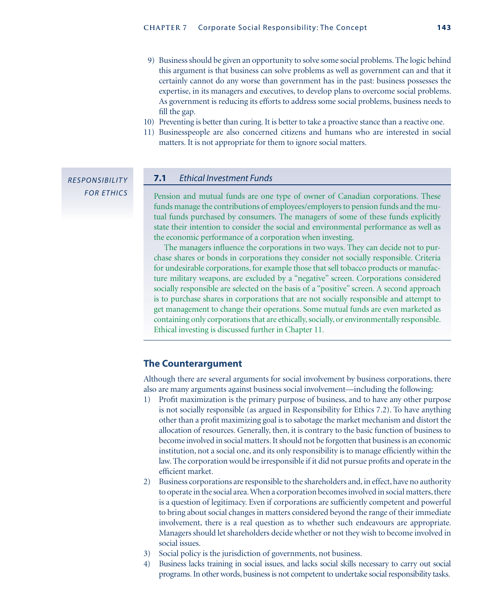- 9) Business should be given an opportunity to solve some social problems. The logic behind this argument is that business can solve problems as well as government can and that it certainly cannot do any worse than government has in the past: business possesses the expertise, in its managers and executives, to develop plans to overcome social problems. As government is reducing its efforts to address some social problems, business needs to fill the gap.
- 10) Preventing is better than curing. It is better to take a proactive stance than a reactive one.
- 11) Businesspeople are also concerned citizens and humans who are interested in social matters. It is not appropriate for them to ignore social matters.

*R E S P O N S I B I L I T Y FOR ETHICS*

# **7.1** *Ethical Investment Funds*

Pension and mutual funds are one type of owner of Canadian corporations. These funds manage the contributions of employees/employers to pension funds and the mutual funds purchased by consumers. The managers of some of these funds explicitly state their intention to consider the social and environmental performance as well as the economic performance of a corporation when investing.

The managers influence the corporations in two ways. They can decide not to purchase shares or bonds in corporations they consider not socially responsible. Criteria for undesirable corporations, for example those that sell tobacco products or manufacture military weapons, are excluded by a "negative" screen. Corporations considered socially responsible are selected on the basis of a "positive" screen. A second approach is to purchase shares in corporations that are not socially responsible and attempt to get management to change their operations. Some mutual funds are even marketed as containing only corporations that are ethically, socially, or environmentally responsible. Ethical investing is discussed further in Chapter 11.

# **The Counterargument**

Although there are several arguments for social involvement by business corporations, there also are many arguments against business social involvement—including the following:

- 1) Profi t maximization is the primary purpose of business, and to have any other purpose is not socially responsible (as argued in Responsibility for Ethics 7.2). To have anything other than a profi t maximizing goal is to sabotage the market mechanism and distort the allocation of resources. Generally, then, it is contrary to the basic function of business to become involved in social matters. It should not be forgotten that business is an economic institution, not a social one, and its only responsibility is to manage efficiently within the law. The corporation would be irresponsible if it did not pursue profits and operate in the efficient market.
- 2) Business corporations are responsible to the shareholders and, in effect, have no authority to operate in the social area. When a corporation becomes involved in social matters, there is a question of legitimacy. Even if corporations are sufficiently competent and powerful to bring about social changes in matters considered beyond the range of their immediate involvement, there is a real question as to whether such endeavours are appropriate. Managers should let shareholders decide whether or not they wish to become involved in social issues.
- 3) Social policy is the jurisdiction of governments, not business.
- 4) Business lacks training in social issues, and lacks social skills necessary to carry out social programs. In other words, business is not competent to undertake social responsibility tasks.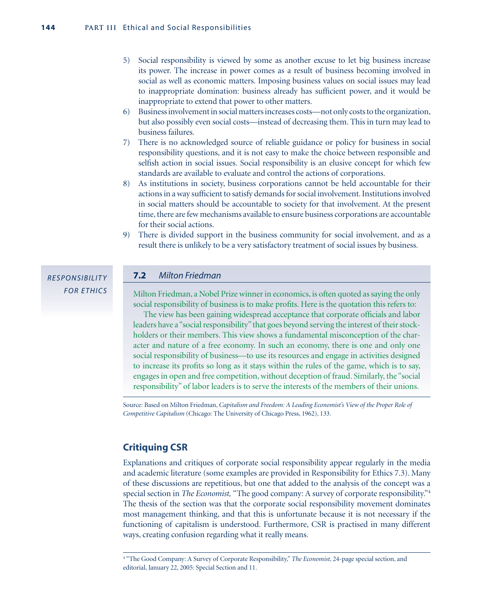- 5) Social responsibility is viewed by some as another excuse to let big business increase its power. The increase in power comes as a result of business becoming involved in social as well as economic matters. Imposing business values on social issues may lead to inappropriate domination: business already has sufficient power, and it would be inappropriate to extend that power to other matters.
- 6) Business involvement in social matters increases costs—not only costs to the organization, but also possibly even social costs—instead of decreasing them. This in turn may lead to business failures.
- 7) There is no acknowledged source of reliable guidance or policy for business in social responsibility questions, and it is not easy to make the choice between responsible and selfish action in social issues. Social responsibility is an elusive concept for which few standards are available to evaluate and control the actions of corporations.
- 8) As institutions in society, business corporations cannot be held accountable for their actions in a way sufficient to satisfy demands for social involvement. Institutions involved in social matters should be accountable to society for that involvement. At the present time, there are few mechanisms available to ensure business corporations are accountable for their social actions.
- 9) There is divided support in the business community for social involvement, and as a result there is unlikely to be a very satisfactory treatment of social issues by business.

| <b>RESPONSIBILITY</b> | <b>Milton Friedman</b><br>7.2                                                                |
|-----------------------|----------------------------------------------------------------------------------------------|
| <b>FOR ETHICS</b>     | Milton Friedman, a Nobel Prize winner in economics, is often quoted as saying the only       |
|                       | social responsibility of business is to make profits. Here is the quotation this refers to:  |
|                       | The view has been gaining widespread acceptance that corporate officials and labor           |
|                       | leaders have a "social responsibility" that goes beyond serving the interest of their stock- |
|                       | holders or their members. This view shows a fundamental misconception of the char-           |
|                       | acter and nature of a free economy. In such an economy, there is one and only one            |
|                       | social responsibility of business—to use its resources and engage in activities designed     |

to increase its profits so long as it stays within the rules of the game, which is to say, engages in open and free competition, without deception of fraud. Similarly, the "social responsibility" of labor leaders is to serve the interests of the members of their unions.

Source: Based on Milton Friedman, *Capitalism and Freedom: A Leading Economist's View of the Proper Role of Competitive Capitalism* (Chicago: The University of Chicago Press, 1962), 133.

# **Critiquing CSR**

Explanations and critiques of corporate social responsibility appear regularly in the media and academic literature (some examples are provided in Responsibility for Ethics 7.3). Many of these discussions are repetitious, but one that added to the analysis of the concept was a special section in *The Economist*, "The good company: A survey of corporate responsibility."<sup>4</sup> The thesis of the section was that the corporate social responsibility movement dominates most management thinking, and that this is unfortunate because it is not necessary if the functioning of capitalism is understood. Furthermore, CSR is practised in many different ways, creating confusion regarding what it really means.

<sup>4 &</sup>quot;The Good Company: A Survey of Corporate Responsibility," *The Economist*, 24-page special section, and editorial, January 22, 2005: Special Section and 11.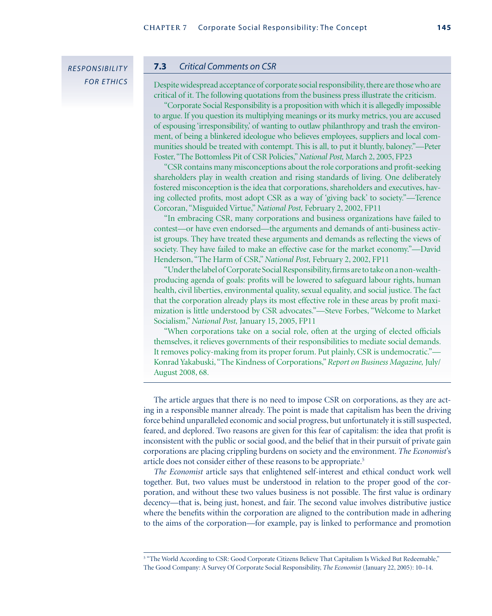# *R E S P O N S I B I L I T Y FOR ETHICS*

### **7.3** *Critical Comments on CSR*

Despite widespread acceptance of corporate social responsibility, there are those who are critical of it. The following quotations from the business press illustrate the criticism.

"Corporate Social Responsibility is a proposition with which it is allegedly impossible to argue. If you question its multiplying meanings or its murky metrics, you are accused of espousing 'irresponsibility,' of wanting to outlaw philanthropy and trash the environment, of being a blinkered ideologue who believes employees, suppliers and local communities should be treated with contempt. This is all, to put it bluntly, baloney."—Peter Foster, "The Bottomless Pit of CSR Policies," *National Post,* March 2, 2005, FP23

"CSR contains many misconceptions about the role corporations and profit-seeking shareholders play in wealth creation and rising standards of living. One deliberately fostered misconception is the idea that corporations, shareholders and executives, having collected profits, most adopt CSR as a way of 'giving back' to society."—Terence Corcoran, "Misguided Virtue," *National Post,* February 2, 2002, FP11

"In embracing CSR, many corporations and business organizations have failed to contest—or have even endorsed—the arguments and demands of anti-business activist groups. They have treated these arguments and demands as reflecting the views of society. They have failed to make an effective case for the market economy."—David Henderson, "The Harm of CSR," *National Post,* February 2, 2002, FP11

"Under the label of Corporate Social Responsibility, firms are to take on a non-wealthproducing agenda of goals: profits will be lowered to safeguard labour rights, human health, civil liberties, environmental quality, sexual equality, and social justice. The fact that the corporation already plays its most effective role in these areas by profit maximization is little understood by CSR advocates."—Steve Forbes, "Welcome to Market Socialism," *National Post,* January 15, 2005, FP11

"When corporations take on a social role, often at the urging of elected officials themselves, it relieves governments of their responsibilities to mediate social demands. It removes policy-making from its proper forum. Put plainly, CSR is undemocratic."— Konrad Yakabuski, "The Kindness of Corporations," *Report on Business Magazine,* July/ August 2008, 68.

The article argues that there is no need to impose CSR on corporations, as they are acting in a responsible manner already. The point is made that capitalism has been the driving force behind unparalleled economic and social progress, but unfortunately it is still suspected, feared, and deplored. Two reasons are given for this fear of capitalism: the idea that profit is inconsistent with the public or social good, and the belief that in their pursuit of private gain corporations are placing crippling burdens on society and the environment. *The Economist*'s article does not consider either of these reasons to be appropriate.<sup>5</sup>

*The Economist* article says that enlightened self-interest and ethical conduct work well together. But, two values must be understood in relation to the proper good of the corporation, and without these two values business is not possible. The first value is ordinary decency—that is, being just, honest, and fair. The second value involves distributive justice where the benefits within the corporation are aligned to the contribution made in adhering to the aims of the corporation—for example, pay is linked to performance and promotion

<sup>&</sup>lt;sup>5</sup> "The World According to CSR: Good Corporate Citizens Believe That Capitalism Is Wicked But Redeemable," The Good Company: A Survey Of Corporate Social Responsibility, *The Economist* (January 22, 2005): 10–14.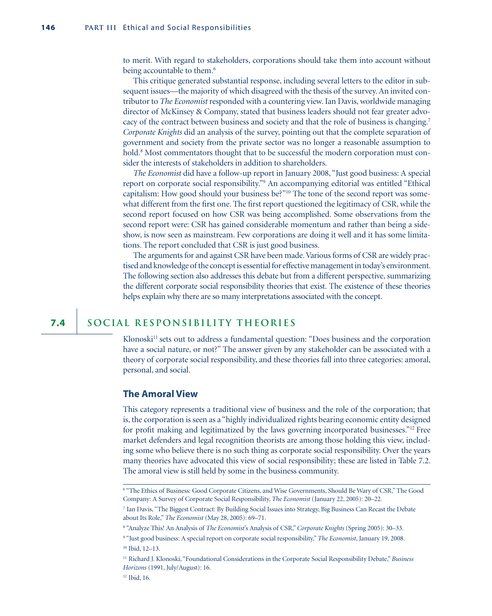to merit. With regard to stakeholders, corporations should take them into account without being accountable to them.<sup>6</sup>

This critique generated substantial response, including several letters to the editor in subsequent issues—the majority of which disagreed with the thesis of the survey. An invited contributor to *The Economist* responded with a countering view. Ian Davis, worldwide managing director of McKinsey & Company, stated that business leaders should not fear greater advocacy of the contract between business and society and that the role of business is changing.7 *Corporate Knights* did an analysis of the survey, pointing out that the complete separation of government and society from the private sector was no longer a reasonable assumption to hold.<sup>8</sup> Most commentators thought that to be successful the modern corporation must consider the interests of stakeholders in addition to shareholders.

*The Economist* did have a follow-up report in January 2008, "Just good business: A special report on corporate social responsibility."9 An accompanying editorial was entitled "Ethical capitalism: How good should your business be?" $10$  The tone of the second report was somewhat different from the first one. The first report questioned the legitimacy of CSR, while the second report focused on how CSR was being accomplished. Some observations from the second report were: CSR has gained considerable momentum and rather than being a sideshow, is now seen as mainstream. Few corporations are doing it well and it has some limitations. The report concluded that CSR is just good business.

The arguments for and against CSR have been made. Various forms of CSR are widely practised and knowledge of the concept is essential for effective management in today's environment. The following section also addresses this debate but from a different perspective, summarizing the different corporate social responsibility theories that exist. The existence of these theories helps explain why there are so many interpretations associated with the concept.

# **7.4 Social Responsibility Theories**

Klonoski<sup>11</sup> sets out to address a fundamental question: "Does business and the corporation have a social nature, or not?" The answer given by any stakeholder can be associated with a theory of corporate social responsibility, and these theories fall into three categories: amoral, personal, and social.

# **The Amoral View**

This category represents a traditional view of business and the role of the corporation; that is, the corporation is seen as a "highly individualized rights bearing economic entity designed for profit making and legitimatized by the laws governing incorporated businesses."<sup>12</sup> Free market defenders and legal recognition theorists are among those holding this view, including some who believe there is no such thing as corporate social responsibility. Over the years many theories have advocated this view of social responsibility; these are listed in Table 7.2. The amoral view is still held by some in the business community.

<sup>6 &</sup>quot;The Ethics of Business: Good Corporate Citizens, and Wise Governments, Should Be Wary of CSR," The Good Company: A Survey of Corporate Social Responsibility, *The Economist* (January 22, 2005): 20–22.

<sup>7</sup> Ian Davis, "The Biggest Contract: By Building Social Issues into Strategy, Big Business Can Recast the Debate about Its Role," *The Economist* (May 28, 2005): 69–71.

<sup>8 &</sup>quot;Analyze This! An Analysis of *The Economist*'s Analysis of CSR," *Corporate Knights* (Spring 2005): 30–33.

<sup>9 &</sup>quot;Just good business: A special report on corporate social responsibility," *The Economist*, January 19, 2008. 10 Ibid, 12–13.

<sup>11</sup> Richard J. Klonoski, "Foundational Considerations in the Corporate Social Responsibility Debate," *Business Horizons* (1991, July/August): 16.

<sup>12</sup> Ibid, 16.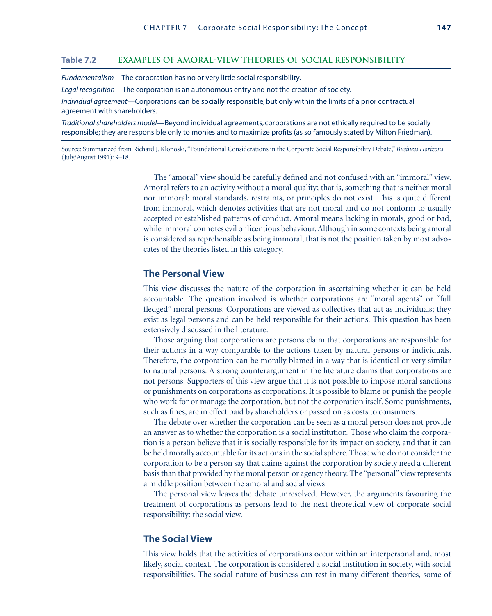#### **Table 7.2 Examples of Amoral-View Theories of Social Responsibility**

*Fundamentalism*—The corporation has no or very little social responsibility.

*Legal recognition*—The corporation is an autonomous entry and not the creation of society.

*Individual agreement*—Corporations can be socially responsible, but only within the limits of a prior contractual agreement with shareholders.

*Traditional shareholders model*—Beyond individual agreements, corporations are not ethically required to be socially responsible; they are responsible only to monies and to maximize profits (as so famously stated by Milton Friedman).

Source: Summarized from Richard J. Klonoski, "Foundational Considerations in the Corporate Social Responsibility Debate," *Business Horizons*  (July/August 1991): 9–18.

> The "amoral" view should be carefully defined and not confused with an "immoral" view. Amoral refers to an activity without a moral quality; that is, something that is neither moral nor immoral: moral standards, restraints, or principles do not exist. This is quite different from immoral, which denotes activities that are not moral and do not conform to usually accepted or established patterns of conduct. Amoral means lacking in morals, good or bad, while immoral connotes evil or licentious behaviour. Although in some contexts being amoral is considered as reprehensible as being immoral, that is not the position taken by most advocates of the theories listed in this category.

# **The Personal View**

This view discusses the nature of the corporation in ascertaining whether it can be held accountable. The question involved is whether corporations are "moral agents" or "full fledged" moral persons. Corporations are viewed as collectives that act as individuals; they exist as legal persons and can be held responsible for their actions. This question has been extensively discussed in the literature.

Those arguing that corporations are persons claim that corporations are responsible for their actions in a way comparable to the actions taken by natural persons or individuals. Therefore, the corporation can be morally blamed in a way that is identical or very similar to natural persons. A strong counterargument in the literature claims that corporations are not persons. Supporters of this view argue that it is not possible to impose moral sanctions or punishments on corporations as corporations. It is possible to blame or punish the people who work for or manage the corporation, but not the corporation itself. Some punishments, such as fines, are in effect paid by shareholders or passed on as costs to consumers.

The debate over whether the corporation can be seen as a moral person does not provide an answer as to whether the corporation is a social institution. Those who claim the corporation is a person believe that it is socially responsible for its impact on society, and that it can be held morally accountable for its actions in the social sphere. Those who do not consider the corporation to be a person say that claims against the corporation by society need a different basis than that provided by the moral person or agency theory. The "personal" view represents a middle position between the amoral and social views.

The personal view leaves the debate unresolved. However, the arguments favouring the treatment of corporations as persons lead to the next theoretical view of corporate social responsibility: the social view.

# **The Social View**

This view holds that the activities of corporations occur within an interpersonal and, most likely, social context. The corporation is considered a social institution in society, with social responsibilities. The social nature of business can rest in many different theories, some of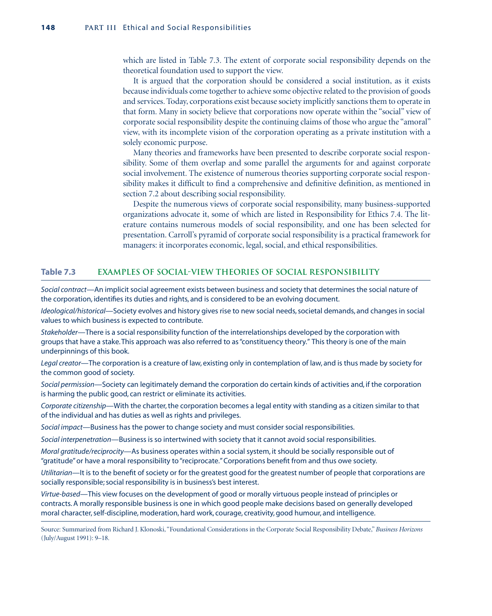which are listed in Table 7.3. The extent of corporate social responsibility depends on the theoretical foundation used to support the view.

It is argued that the corporation should be considered a social institution, as it exists because individuals come together to achieve some objective related to the provision of goods and services. Today, corporations exist because society implicitly sanctions them to operate in that form. Many in society believe that corporations now operate within the "social" view of corporate social responsibility despite the continuing claims of those who argue the "amoral" view, with its incomplete vision of the corporation operating as a private institution with a solely economic purpose.

Many theories and frameworks have been presented to describe corporate social responsibility. Some of them overlap and some parallel the arguments for and against corporate social involvement. The existence of numerous theories supporting corporate social responsibility makes it difficult to find a comprehensive and definitive definition, as mentioned in section 7.2 about describing social responsibility.

Despite the numerous views of corporate social responsibility, many business-supported organizations advocate it, some of which are listed in Responsibility for Ethics 7.4. The literature contains numerous models of social responsibility, and one has been selected for presentation. Carroll's pyramid of corporate social responsibility is a practical framework for managers: it incorporates economic, legal, social, and ethical responsibilities.

# **Table 7.3 Examples of Social-View Theories of Social Responsibility**

*Social contract*—An implicit social agreement exists between business and society that determines the social nature of the corporation, identifies its duties and rights, and is considered to be an evolving document.

*Ideological/historical*—Society evolves and history gives rise to new social needs, societal demands, and changes in social values to which business is expected to contribute.

*Stakeholder*—There is a social responsibility function of the interrelationships developed by the corporation with groups that have a stake. This approach was also referred to as "constituency theory." This theory is one of the main underpinnings of this book.

*Legal creator*—The corporation is a creature of law, existing only in contemplation of law, and is thus made by society for the common good of society.

*Social permission*—Society can legitimately demand the corporation do certain kinds of activities and, if the corporation is harming the public good, can restrict or eliminate its activities.

*Corporate citizenship*—With the charter, the corporation becomes a legal entity with standing as a citizen similar to that of the individual and has duties as well as rights and privileges.

*Social impact*—Business has the power to change society and must consider social responsibilities.

*Social interpenetration*—Business is so intertwined with society that it cannot avoid social responsibilities.

*Moral gratitude/reciprocity*—As business operates within a social system, it should be socially responsible out of "gratitude" or have a moral responsibility to "reciprocate." Corporations benefit from and thus owe society.

*Utilitarian*—It is to the benefi t of society or for the greatest good for the greatest number of people that corporations are socially responsible; social responsibility is in business's best interest.

*Virtue-based*—This view focuses on the development of good or morally virtuous people instead of principles or contracts. A morally responsible business is one in which good people make decisions based on generally developed moral character, self-discipline, moderation, hard work, courage, creativity, good humour, and intelligence.

Source: Summarized from Richard J. Klonoski, "Foundational Considerations in the Corporate Social Responsibility Debate," *Business Horizons*  (July/August 1991): 9–18.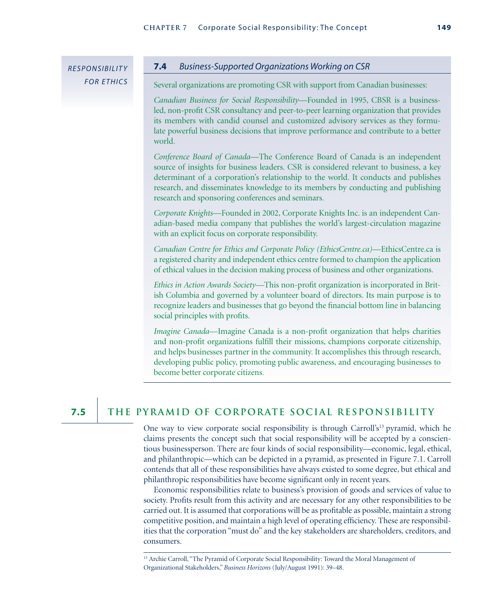| <b>FOR ETHICS</b> | Several organizations are promoting CSR with support from Canadian businesses:                                                                                                                                                                                                                                                                                                                        |
|-------------------|-------------------------------------------------------------------------------------------------------------------------------------------------------------------------------------------------------------------------------------------------------------------------------------------------------------------------------------------------------------------------------------------------------|
|                   | Canadian Business for Social Responsibility-Founded in 1995, CBSR is a business-<br>led, non-profit CSR consultancy and peer-to-peer learning organization that provides<br>its members with candid counsel and customized advisory services as they formu-<br>late powerful business decisions that improve performance and contribute to a better<br>world.                                         |
|                   | Conference Board of Canada-The Conference Board of Canada is an independent<br>source of insights for business leaders. CSR is considered relevant to business, a key<br>determinant of a corporation's relationship to the world. It conducts and publishes<br>research, and disseminates knowledge to its members by conducting and publishing<br>research and sponsoring conferences and seminars. |
|                   | Corporate Knights—Founded in 2002, Corporate Knights Inc. is an independent Can-<br>adian-based media company that publishes the world's largest-circulation magazine<br>with an explicit focus on corporate responsibility.                                                                                                                                                                          |
|                   | Canadian Centre for Ethics and Corporate Policy (EthicsCentre.ca)—EthicsCentre.ca is<br>a registered charity and independent ethics centre formed to champion the application<br>of ethical values in the decision making process of business and other organizations.                                                                                                                                |
|                   | Ethics in Action Awards Society-This non-profit organization is incorporated in Brit-<br>ish Columbia and governed by a volunteer board of directors. Its main purpose is to<br>recognize leaders and businesses that go beyond the financial bottom line in balancing<br>social principles with profits.                                                                                             |
|                   | Imagine Canada—Imagine Canada is a non-profit organization that helps charities<br>and non-profit organizations fulfill their missions, champions corporate citizenship,<br>and helps businesses partner in the community. It accomplishes this through research,<br>developing public policy, promoting public awareness, and encouraging businesses to<br>become better corporate citizens.         |

# **7.5 The Pyramid of Corporate Social Responsibility**

One way to view corporate social responsibility is through Carroll's<sup>13</sup> pyramid, which he claims presents the concept such that social responsibility will be accepted by a conscientious businessperson. There are four kinds of social responsibility—economic, legal, ethical, and philanthropic—which can be depicted in a pyramid, as presented in Figure 7.1. Carroll contends that all of these responsibilities have always existed to some degree, but ethical and philanthropic responsibilities have become significant only in recent years.

Economic responsibilities relate to business's provision of goods and services of value to society. Profits result from this activity and are necessary for any other responsibilities to be carried out. It is assumed that corporations will be as profitable as possible, maintain a strong competitive position, and maintain a high level of operating efficiency. These are responsibilities that the corporation "must do" and the key stakeholders are shareholders, creditors, and consumers.

<sup>13</sup> Archie Carroll, "The Pyramid of Corporate Social Responsibility: Toward the Moral Management of Organizational Stakeholders," *Business Horizons* (July/August 1991): 39–48.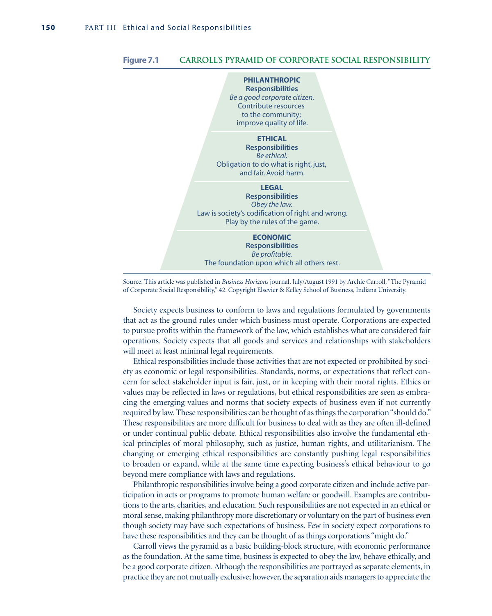### **Figure 7.1 Carroll's Pyramid of Corporate Social Responsibility**



Source: This article was published in *Business Horizons* journal, July/August 1991 by Archie Carroll, "The Pyramid of Corporate Social Responsibility," 42. Copyright Elsevier & Kelley School of Business, Indiana University.

Society expects business to conform to laws and regulations formulated by governments that act as the ground rules under which business must operate. Corporations are expected to pursue profits within the framework of the law, which establishes what are considered fair operations. Society expects that all goods and services and relationships with stakeholders will meet at least minimal legal requirements.

Ethical responsibilities include those activities that are not expected or prohibited by society as economic or legal responsibilities. Standards, norms, or expectations that reflect concern for select stakeholder input is fair, just, or in keeping with their moral rights. Ethics or values may be reflected in laws or regulations, but ethical responsibilities are seen as embracing the emerging values and norms that society expects of business even if not currently required by law. These responsibilities can be thought of as things the corporation "should do." These responsibilities are more difficult for business to deal with as they are often ill-defined or under continual public debate. Ethical responsibilities also involve the fundamental ethical principles of moral philosophy, such as justice, human rights, and utilitarianism. The changing or emerging ethical responsibilities are constantly pushing legal responsibilities to broaden or expand, while at the same time expecting business's ethical behaviour to go beyond mere compliance with laws and regulations.

Philanthropic responsibilities involve being a good corporate citizen and include active participation in acts or programs to promote human welfare or goodwill. Examples are contributions to the arts, charities, and education. Such responsibilities are not expected in an ethical or moral sense, making philanthropy more discretionary or voluntary on the part of business even though society may have such expectations of business. Few in society expect corporations to have these responsibilities and they can be thought of as things corporations "might do."

Carroll views the pyramid as a basic building-block structure, with economic performance as the foundation. At the same time, business is expected to obey the law, behave ethically, and be a good corporate citizen. Although the responsibilities are portrayed as separate elements, in practice they are not mutually exclusive; however, the separation aids managers to appreciate the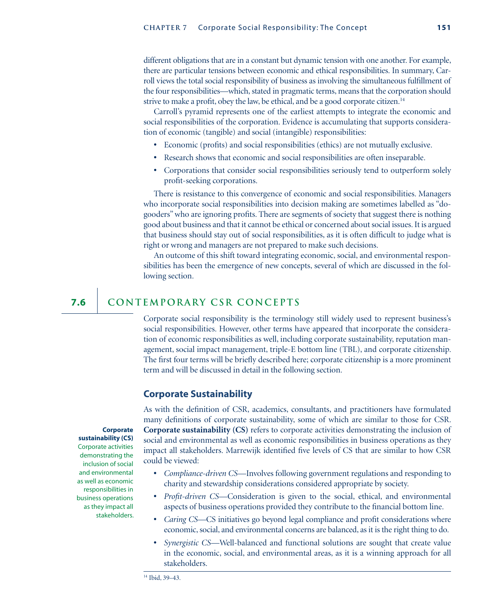different obligations that are in a constant but dynamic tension with one another. For example, there are particular tensions between economic and ethical responsibilities. In summary, Carroll views the total social responsibility of business as involving the simultaneous fulfillment of the four responsibilities—which, stated in pragmatic terms, means that the corporation should strive to make a profit, obey the law, be ethical, and be a good corporate citizen.<sup>14</sup>

Carroll's pyramid represents one of the earliest attempts to integrate the economic and social responsibilities of the corporation. Evidence is accumulating that supports consideration of economic (tangible) and social (intangible) responsibilities:

- Economic (profits) and social responsibilities (ethics) are not mutually exclusive.
- Research shows that economic and social responsibilities are often inseparable.
- Corporations that consider social responsibilities seriously tend to outperform solely profit-seeking corporations.

There is resistance to this convergence of economic and social responsibilities. Managers who incorporate social responsibilities into decision making are sometimes labelled as "dogooders" who are ignoring profits. There are segments of society that suggest there is nothing good about business and that it cannot be ethical or concerned about social issues. It is argued that business should stay out of social responsibilities, as it is often difficult to judge what is right or wrong and managers are not prepared to make such decisions.

An outcome of this shift toward integrating economic, social, and environmental responsibilities has been the emergence of new concepts, several of which are discussed in the following section.

# **7.6 Contemporary CSR Concepts**

Corporate social responsibility is the terminology still widely used to represent business's social responsibilities. However, other terms have appeared that incorporate the consideration of economic responsibilities as well, including corporate sustainability, reputation management, social impact management, triple-E bottom line (TBL), and corporate citizenship. The first four terms will be briefly described here; corporate citizenship is a more prominent term and will be discussed in detail in the following section.

### **Corporate Sustainability**

# **Corporate**

**sustainability (CS)**

Corporate activities demonstrating the inclusion of social and environmental as well as economic responsibilities in business operations as they impact all stakeholders. As with the definition of CSR, academics, consultants, and practitioners have formulated many definitions of corporate sustainability, some of which are similar to those for CSR. **Corporate sustainability (CS)** refers to corporate activities demonstrating the inclusion of social and environmental as well as economic responsibilities in business operations as they impact all stakeholders. Marrewijk identified five levels of CS that are similar to how CSR could be viewed:

- *Compliance-driven CS*—Involves following government regulations and responding to charity and stewardship considerations considered appropriate by society.
- Profit-driven CS—Consideration is given to the social, ethical, and environmental aspects of business operations provided they contribute to the financial bottom line.
- *Caring CS*—CS initiatives go beyond legal compliance and profit considerations where economic, social, and environmental concerns are balanced, as it is the right thing to do.
- *Synergistic CS*—Well-balanced and functional solutions are sought that create value in the economic, social, and environmental areas, as it is a winning approach for all stakeholders.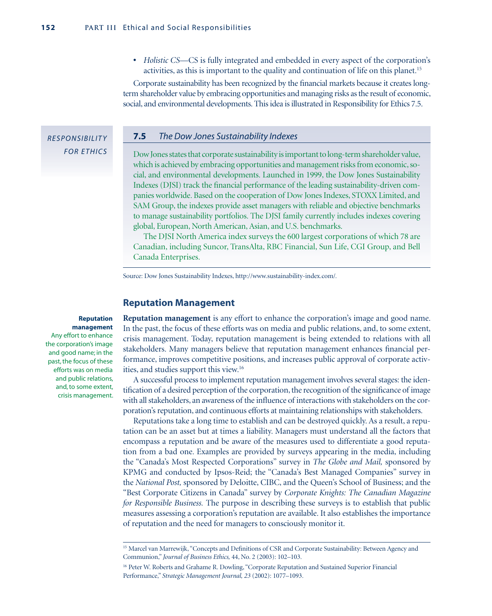**•** *Holistic CS*—CS is fully integrated and embedded in every aspect of the corporation's activities, as this is important to the quality and continuation of life on this planet.15

Corporate sustainability has been recognized by the financial markets because it creates longterm shareholder value by embracing opportunities and managing risks as the result of economic, social, and environmental developments. This idea is illustrated in Responsibility for Ethics 7.5.

#### **7.5** *The Dow Jones Sustainability Indexes*

*FOR ETHICS*

*R E S P O N S I B I L I T Y* 

Dow Jones states that corporate sustainability is important to long-term shareholder value, which is achieved by embracing opportunities and management risks from economic, social, and environmental developments. Launched in 1999, the Dow Jones Sustainability Indexes (DJSI) track the financial performance of the leading sustainability-driven companies worldwide. Based on the cooperation of Dow Jones Indexes, STOXX Limited, and SAM Group, the indexes provide asset managers with reliable and objective benchmarks to manage sustainability portfolios. The DJSI family currently includes indexes covering global, European, North American, Asian, and U.S. benchmarks.

The DJSI North America index surveys the 600 largest corporations of which 78 are Canadian, including Suncor, TransAlta, RBC Financial, Sun Life, CGI Group, and Bell Canada Enterprises.

Source: Dow Jones Sustainability Indexes, http://www.sustainability-index.com/.

# **Reputation Management**

#### **Reputation management**

Any effort to enhance the corporation's image and good name; in the past, the focus of these efforts was on media and public relations, and, to some extent, crisis management. **Reputation management** is any effort to enhance the corporation's image and good name. In the past, the focus of these efforts was on media and public relations, and, to some extent, crisis management. Today, reputation management is being extended to relations with all stakeholders. Many managers believe that reputation management enhances financial performance, improves competitive positions, and increases public approval of corporate activities, and studies support this view.16

A successful process to implement reputation management involves several stages: the identification of a desired perception of the corporation, the recognition of the significance of image with all stakeholders, an awareness of the influence of interactions with stakeholders on the corporation's reputation, and continuous efforts at maintaining relationships with stakeholders.

Reputations take a long time to establish and can be destroyed quickly. As a result, a reputation can be an asset but at times a liability. Managers must understand all the factors that encompass a reputation and be aware of the measures used to differentiate a good reputation from a bad one. Examples are provided by surveys appearing in the media, including the "Canada's Most Respected Corporations" survey in *The Globe and Mail,* sponsored by KPMG and conducted by Ipsos-Reid; the "Canada's Best Managed Companies" survey in the *National Post,* sponsored by Deloitte, CIBC, and the Queen's School of Business; and the "Best Corporate Citizens in Canada" survey by *Corporate Knights: The Canadian Magazine for Responsible Business.* The purpose in describing these surveys is to establish that public measures assessing a corporation's reputation are available. It also establishes the importance of reputation and the need for managers to consciously monitor it.

<sup>&</sup>lt;sup>15</sup> Marcel van Marrewijk, "Concepts and Definitions of CSR and Corporate Sustainability: Between Agency and Communion," *Journal of Business Ethics,* 44, No. 2 (2003): 102–103.

<sup>&</sup>lt;sup>16</sup> Peter W. Roberts and Grahame R. Dowling, "Corporate Reputation and Sustained Superior Financial Performance," *Strategic Management Journal, 23* (2002): 1077–1093.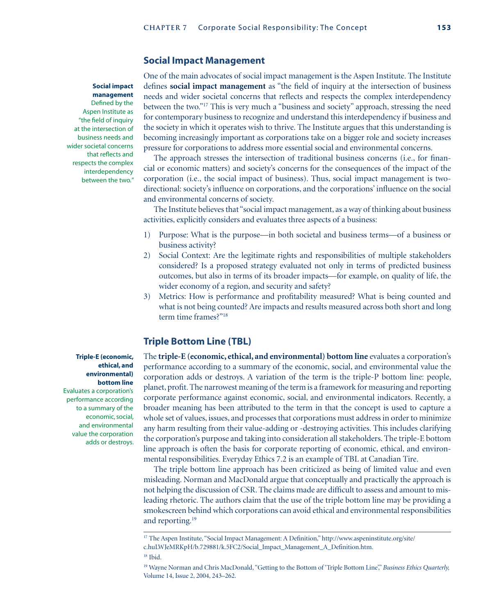# **Social Impact Management**

**Social impact management** Defined by the Aspen Institute as "the field of inquiry at the intersection of business needs and wider societal concerns that reflects and respects the complex interdependency between the two." One of the main advocates of social impact management is the Aspen Institute. The Institute defines **social impact management** as "the field of inquiry at the intersection of business needs and wider societal concerns that reflects and respects the complex interdependency between the two."17 This is very much a "business and society" approach, stressing the need for contemporary business to recognize and understand this interdependency if business and the society in which it operates wish to thrive. The Institute argues that this understanding is becoming increasingly important as corporations take on a bigger role and society increases pressure for corporations to address more essential social and environmental concerns.

The approach stresses the intersection of traditional business concerns (i.e., for financial or economic matters) and society's concerns for the consequences of the impact of the corporation (i.e., the social impact of business). Thus, social impact management is twodirectional: society's influence on corporations, and the corporations' influence on the social and environmental concerns of society.

The Institute believes that "social impact management, as a way of thinking about business activities, explicitly considers and evaluates three aspects of a business:

- 1) Purpose: What is the purpose—in both societal and business terms—of a business or business activity?
- 2) Social Context: Are the legitimate rights and responsibilities of multiple stakeholders considered? Is a proposed strategy evaluated not only in terms of predicted business outcomes, but also in terms of its broader impacts—for example, on quality of life, the wider economy of a region, and security and safety?
- 3) Metrics: How is performance and profitability measured? What is being counted and what is not being counted? Are impacts and results measured across both short and long term time frames?"18

# **Triple Bottom Line (TBL)**

The **triple-E (economic, ethical, and environmental) bottom line** evaluates a corporation's performance according to a summary of the economic, social, and environmental value the corporation adds or destroys. A variation of the term is the triple-P bottom line: people, planet, profit. The narrowest meaning of the term is a framework for measuring and reporting corporate performance against economic, social, and environmental indicators. Recently, a broader meaning has been attributed to the term in that the concept is used to capture a whole set of values, issues, and processes that corporations must address in order to minimize any harm resulting from their value-adding or -destroying activities. This includes clarifying the corporation's purpose and taking into consideration all stakeholders. The triple-E bottom line approach is often the basis for corporate reporting of economic, ethical, and environmental responsibilities. Everyday Ethics 7.2 is an example of TBL at Canadian Tire.

The triple bottom line approach has been criticized as being of limited value and even misleading. Norman and MacDonald argue that conceptually and practically the approach is not helping the discussion of CSR. The claims made are difficult to assess and amount to misleading rhetoric. The authors claim that the use of the triple bottom line may be providing a smokescreen behind which corporations can avoid ethical and environmental responsibilities and reporting.19

**Triple-E (economic, ethical, and environmental) bottom line** Evaluates a corporation's performance according to a summary of the economic, social, and environmental value the corporation adds or destroys.

<sup>&</sup>lt;sup>17</sup> The Aspen Institute, "Social Impact Management: A Definition," http://www.aspeninstitute.org/site/ c.huLWJeMRKpH/b.729881/k.5FC2/Social\_Impact\_Management\_A\_Definition.htm.

<sup>18</sup> Ibid.

<sup>19</sup> Wayne Norman and Chris MacDonald, "Getting to the Bottom of 'Triple Bottom Line'," *Business Ethics Quarterly,*  Volume 14, Issue 2, 2004, 243–262.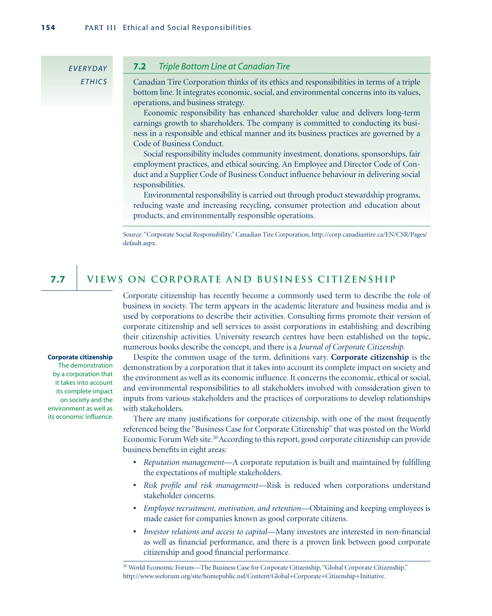| EVERYDAY      | Triple Bottom Line at Canadian Tire<br>7.2                                                                                                                                                                                                                                               |
|---------------|------------------------------------------------------------------------------------------------------------------------------------------------------------------------------------------------------------------------------------------------------------------------------------------|
| <b>ETHICS</b> | Canadian Tire Corporation thinks of its ethics and responsibilities in terms of a triple<br>bottom line. It integrates economic, social, and environmental concerns into its values,<br>operations, and business strategy.                                                               |
|               | Economic responsibility has enhanced shareholder value and delivers long-term<br>earnings growth to shareholders. The company is committed to conducting its busi-<br>ness in a responsible and ethical manner and its business practices are governed by a<br>Code of Business Conduct. |
|               | Social responsibility includes community investment, donations, sponsorships, fair<br>employment practices, and ethical sourcing. An Employee and Director Code of Con-<br>duct and a Supplier Code of Business Conduct influence behaviour in delivering social<br>responsibilities.    |
|               | Environmental responsibility is carried out through product stewardship programs,<br>reducing waste and increasing recycling, consumer protection and education about<br>products, and environmentally responsible operations.                                                           |

Source: "Corporate Social Responsibility," Canadian Tire Corporation, http://corp.canadiantire.ca/EN/CSR/Pages/ default.aspx.

# **7.7 Views on Corporate and Business Citizenship**

Corporate citizenship has recently become a commonly used term to describe the role of business in society. The term appears in the academic literature and business media and is used by corporations to describe their activities. Consulting firms promote their version of corporate citizenship and sell services to assist corporations in establishing and describing their citizenship activities. University research centres have been established on the topic, numerous books describe the concept, and there is a *Journal of Corporate Citizenship.*

#### **Corporate citizenship**

The demonstration by a corporation that it takes into account its complete impact on society and the environment as well as its economic influence.

Despite the common usage of the term, definitions vary. **Corporate citizenship** is the demonstration by a corporation that it takes into account its complete impact on society and the environment as well as its economic influence. It concerns the economic, ethical or social, and environmental responsibilities to all stakeholders involved with consideration given to inputs from various stakeholders and the practices of corporations to develop relationships with stakeholders.

There are many justifications for corporate citizenship, with one of the most frequently referenced being the "Business Case for Corporate Citizenship" that was posted on the World Economic Forum Web site.<sup>20</sup> According to this report, good corporate citizenship can provide business benefits in eight areas:

- Reputation management—A corporate reputation is built and maintained by fulfilling the expectations of multiple stakeholders.
- Risk profile and risk management—Risk is reduced when corporations understand stakeholder concerns.
- *Employee recruitment, motivation, and retention*—Obtaining and keeping employees is made easier for companies known as good corporate citizens.
- Investor relations and access to capital—Many investors are interested in non-financial as well as financial performance, and there is a proven link between good corporate citizenship and good financial performance.

20 World Economic Forum—The Business Case for Corporate Citizenship, "Global Corporate Citizenship," http://www.weforum.org/site/homepublic.nsf/Content/Global+Corporate+Citizenship+Initiative.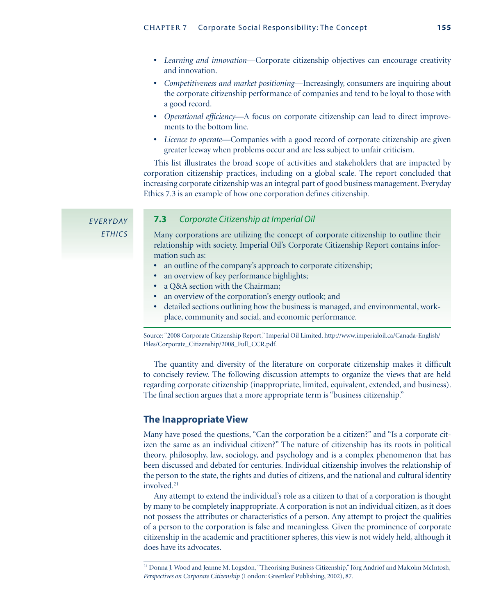- *Learning and innovation*—Corporate citizenship objectives can encourage creativity and innovation.
- *Competitiveness and market positioning*—Increasingly, consumers are inquiring about the corporate citizenship performance of companies and tend to be loyal to those with a good record.
- Operational efficiency—A focus on corporate citizenship can lead to direct improvements to the bottom line.
- *Licence to operate*—Companies with a good record of corporate citizenship are given greater leeway when problems occur and are less subject to unfair criticism.

This list illustrates the broad scope of activities and stakeholders that are impacted by corporation citizenship practices, including on a global scale. The report concluded that increasing corporate citizenship was an integral part of good business management. Everyday Ethics 7.3 is an example of how one corporation defines citizenship.

#### **7.3** *Corporate Citizenship at Imperial Oil EVERYDAY*

*ETHICS*

Many corporations are utilizing the concept of corporate citizenship to outline their relationship with society. Imperial Oil's Corporate Citizenship Report contains information such as:

- an outline of the company's approach to corporate citizenship;
- an overview of key performance highlights;
- a Q&A section with the Chairman;
- an overview of the corporation's energy outlook; and
- detailed sections outlining how the business is managed, and environmental, workplace, community and social, and economic performance.

Source: "2008 Corporate Citizenship Report," Imperial Oil Limited, http://www.imperialoil.ca/Canada-English/ Files/Corporate\_Citizenship/2008\_Full\_CCR.pdf.

The quantity and diversity of the literature on corporate citizenship makes it difficult to concisely review. The following discussion attempts to organize the views that are held regarding corporate citizenship (inappropriate, limited, equivalent, extended, and business). The final section argues that a more appropriate term is "business citizenship."

# **The Inappropriate View**

Many have posed the questions, "Can the corporation be a citizen?" and "Is a corporate citizen the same as an individual citizen?" The nature of citizenship has its roots in political theory, philosophy, law, sociology, and psychology and is a complex phenomenon that has been discussed and debated for centuries. Individual citizenship involves the relationship of the person to the state, the rights and duties of citizens, and the national and cultural identity involved.<sup>21</sup>

Any attempt to extend the individual's role as a citizen to that of a corporation is thought by many to be completely inappropriate. A corporation is not an individual citizen, as it does not possess the attributes or characteristics of a person. Any attempt to project the qualities of a person to the corporation is false and meaningless. Given the prominence of corporate citizenship in the academic and practitioner spheres, this view is not widely held, although it does have its advocates.

<sup>21</sup> Donna J. Wood and Jeanne M. Logsdon, "Theorising Business Citizenship," Jörg Andriof and Malcolm McIntosh, *Perspectives on Corporate Citizenship* (London: Greenleaf Publishing, 2002), 87.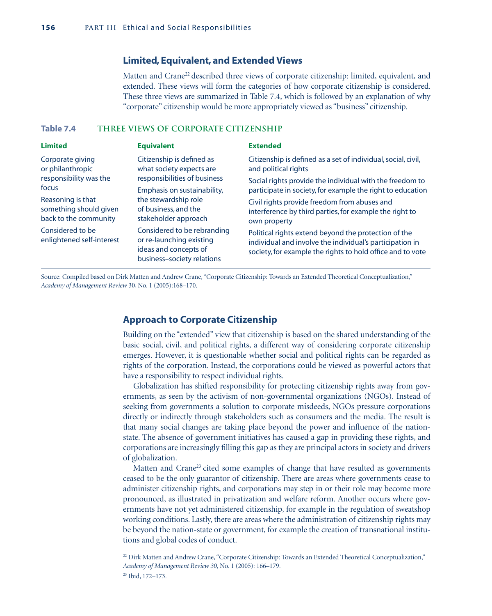# **Limited, Equivalent, and Extended Views**

Matten and Crane<sup>22</sup> described three views of corporate citizenship: limited, equivalent, and extended. These views will form the categories of how corporate citizenship is considered. These three views are summarized in Table 7.4, which is followed by an explanation of why "corporate" citizenship would be more appropriately viewed as "business" citizenship.

# **Table 7.4 Three Views of Corporate Citizenship**

| <b>Limited</b>                                                       | <b>Equivalent</b>                                                                                                    | <b>Extended</b>                                                                                                                                                                |
|----------------------------------------------------------------------|----------------------------------------------------------------------------------------------------------------------|--------------------------------------------------------------------------------------------------------------------------------------------------------------------------------|
| Corporate giving<br>or philanthropic                                 | Citizenship is defined as<br>what society expects are<br>responsibilities of business<br>Emphasis on sustainability, | Citizenship is defined as a set of individual, social, civil,<br>and political rights                                                                                          |
| responsibility was the<br>focus                                      |                                                                                                                      | Social rights provide the individual with the freedom to<br>participate in society, for example the right to education                                                         |
| Reasoning is that<br>something should given<br>back to the community | the stewardship role<br>of business, and the<br>stakeholder approach                                                 | Civil rights provide freedom from abuses and<br>interference by third parties, for example the right to<br>own property                                                        |
| Considered to be<br>enlightened self-interest                        | Considered to be rebranding<br>or re-launching existing<br>ideas and concepts of<br>business-society relations       | Political rights extend beyond the protection of the<br>individual and involve the individual's participation in<br>society, for example the rights to hold office and to vote |

Source: Compiled based on Dirk Matten and Andrew Crane, "Corporate Citizenship: Towards an Extended Theoretical Conceptualization," *Academy of Management Review* 30, No. 1 (2005):168–170.

# **Approach to Corporate Citizenship**

Building on the "extended" view that citizenship is based on the shared understanding of the basic social, civil, and political rights, a different way of considering corporate citizenship emerges. However, it is questionable whether social and political rights can be regarded as rights of the corporation. Instead, the corporations could be viewed as powerful actors that have a responsibility to respect individual rights.

Globalization has shifted responsibility for protecting citizenship rights away from governments, as seen by the activism of non-governmental organizations (NGOs). Instead of seeking from governments a solution to corporate misdeeds, NGOs pressure corporations directly or indirectly through stakeholders such as consumers and the media. The result is that many social changes are taking place beyond the power and influence of the nationstate. The absence of government initiatives has caused a gap in providing these rights, and corporations are increasingly filling this gap as they are principal actors in society and drivers of globalization.

Matten and Crane<sup>23</sup> cited some examples of change that have resulted as governments ceased to be the only guarantor of citizenship. There are areas where governments cease to administer citizenship rights, and corporations may step in or their role may become more pronounced, as illustrated in privatization and welfare reform. Another occurs where governments have not yet administered citizenship, for example in the regulation of sweatshop working conditions. Lastly, there are areas where the administration of citizenship rights may be beyond the nation-state or government, for example the creation of transnational institutions and global codes of conduct.

<sup>&</sup>lt;sup>22</sup> Dirk Matten and Andrew Crane, "Corporate Citizenship: Towards an Extended Theoretical Conceptualization," *Academy of Management Review 30*, No. 1 (2005): 166–179.

<sup>23</sup> Ibid, 172–173.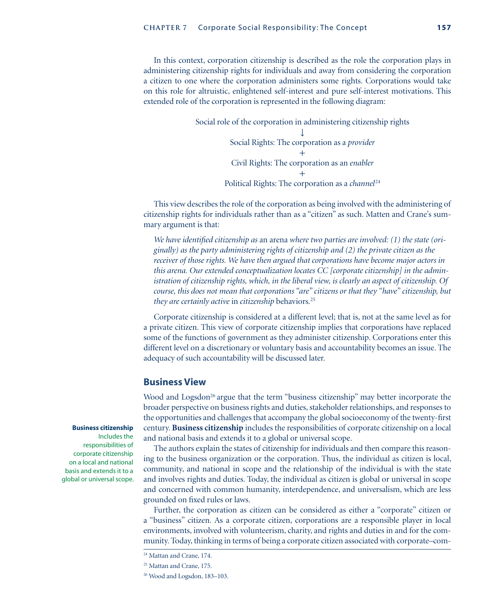In this context, corporation citizenship is described as the role the corporation plays in administering citizenship rights for individuals and away from considering the corporation a citizen to one where the corporation administers some rights. Corporations would take on this role for altruistic, enlightened self-interest and pure self-interest motivations. This extended role of the corporation is represented in the following diagram:

> Social role of the corporation in administering citizenship rights ↓ Social Rights: The corporation as a *provider* + Civil Rights: The corporation as an *enabler* + Political Rights: The corporation as a *channel*<sup>24</sup>

This view describes the role of the corporation as being involved with the administering of citizenship rights for individuals rather than as a "citizen" as such. Matten and Crane's summary argument is that:

We have identified citizenship as an arena where two parties are involved: (1) the state (ori*ginally) as the party administering rights of citizenship and (2) the private citizen as the receiver of those rights. We have then argued that corporations have become major actors in this arena. Our extended conceptualization locates CC [corporate citizenship] in the administration of citizenship rights, which, in the liberal view, is clearly an aspect of citizenship. Of course, this does not mean that corporations "are" citizens or that they "have" citizenship, but they are certainly active* in *citizenship* behaviors*.* 25

Corporate citizenship is considered at a different level; that is, not at the same level as for a private citizen. This view of corporate citizenship implies that corporations have replaced some of the functions of government as they administer citizenship. Corporations enter this different level on a discretionary or voluntary basis and accountability becomes an issue. The adequacy of such accountability will be discussed later.

# **Business View**

Wood and Logsdon<sup>26</sup> argue that the term "business citizenship" may better incorporate the broader perspective on business rights and duties, stakeholder relationships, and responses to the opportunities and challenges that accompany the global socioeconomy of the twenty-first century. **Business citizenship** includes the responsibilities of corporate citizenship on a local and national basis and extends it to a global or universal scope.

The authors explain the states of citizenship for individuals and then compare this reasoning to the business organization or the corporation. Thus, the individual as citizen is local, community, and national in scope and the relationship of the individual is with the state and involves rights and duties. Today, the individual as citizen is global or universal in scope and concerned with common humanity, interdependence, and universalism, which are less grounded on fixed rules or laws.

Further, the corporation as citizen can be considered as either a "corporate" citizen or a "business" citizen. As a corporate citizen, corporations are a responsible player in local environments, involved with volunteerism, charity, and rights and duties in and for the community. Today, thinking in terms of being a corporate citizen associated with corporate–com-

#### **Business citizenship**

Includes the responsibilities of corporate citizenship on a local and national basis and extends it to a global or universal scope.

<sup>24</sup> Mattan and Crane, 174.

<sup>25</sup> Mattan and Crane, 175.

<sup>26</sup> Wood and Logsdon, 183–103.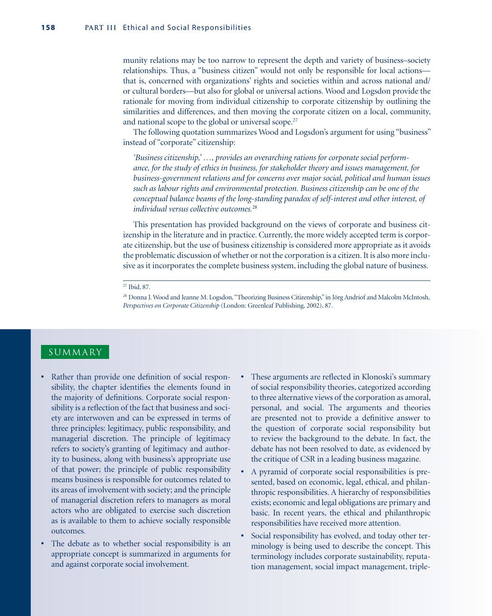munity relations may be too narrow to represent the depth and variety of business–society relationships. Thus, a "business citizen" would not only be responsible for local actions that is, concerned with organizations' rights and societies within and across national and/ or cultural borders—but also for global or universal actions. Wood and Logsdon provide the rationale for moving from individual citizenship to corporate citizenship by outlining the similarities and differences, and then moving the corporate citizen on a local, community, and national scope to the global or universal scope.<sup>27</sup>

The following quotation summarizes Wood and Logsdon's argument for using "business" instead of "corporate" citizenship:

*'Business citizenship,' …, provides an overarching rations for corporate social performance, for the study of ethics in business, for stakeholder theory and issues management, for business-government relations and for concerns over major social, political and human issues such as labour rights and environmental protection. Business citizenship can be one of the conceptual balance beams of the long-standing paradox of self-interest and other interest, of individual versus collective outcomes.*<sup>28</sup>

This presentation has provided background on the views of corporate and business citizenship in the literature and in practice. Currently, the more widely accepted term is corporate citizenship, but the use of business citizenship is considered more appropriate as it avoids the problematic discussion of whether or not the corporation is a citizen. It is also more inclusive as it incorporates the complete business system, including the global nature of business.

# 27 Ibid, 87.

28 Donna J. Wood and Jeanne M. Logsdon, "Theorizing Business Citizenship," in Jörg Andriof and Malcolm McIntosh, *Perspectives on Corporate Citizenship* (London: Greenleaf Publishing, 2002), 87.

# **SUMMARY**

- Rather than provide one definition of social responsibility, the chapter identifies the elements found in the majority of definitions. Corporate social responsibility is a reflection of the fact that business and society are interwoven and can be expressed in terms of three principles: legitimacy, public responsibility, and managerial discretion. The principle of legitimacy refers to society's granting of legitimacy and authority to business, along with business's appropriate use of that power; the principle of public responsibility means business is responsible for outcomes related to its areas of involvement with society; and the principle of managerial discretion refers to managers as moral actors who are obligated to exercise such discretion as is available to them to achieve socially responsible outcomes.
- The debate as to whether social responsibility is an appropriate concept is summarized in arguments for and against corporate social involvement.
- These arguments are reflected in Klonoski's summary of social responsibility theories, categorized according to three alternative views of the corporation as amoral, personal, and social. The arguments and theories are presented not to provide a definitive answer to the question of corporate social responsibility but to review the background to the debate. In fact, the debate has not been resolved to date, as evidenced by the critique of CSR in a leading business magazine.
- A pyramid of corporate social responsibilities is presented, based on economic, legal, ethical, and philanthropic responsibilities. A hierarchy of responsibilities exists; economic and legal obligations are primary and basic. In recent years, the ethical and philanthropic responsibilities have received more attention.
- Social responsibility has evolved, and today other terminology is being used to describe the concept. This terminology includes corporate sustainability, reputation management, social impact management, triple-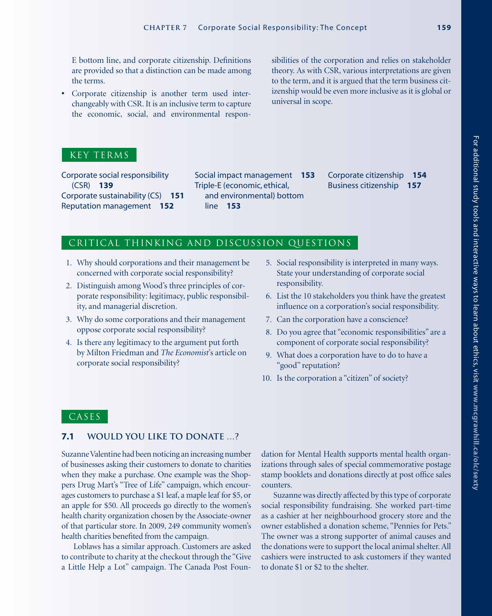E bottom line, and corporate citizenship. Definitions are provided so that a distinction can be made among the terms.

**•** Corporate citizenship is another term used interchangeably with CSR. It is an inclusive term to capture the economic, social, and environmental responsibilities of the corporation and relies on stakeholder theory. As with CSR, various interpretations are given to the term, and it is argued that the term business citizenship would be even more inclusive as it is global or universal in scope.

# key terms

Corporate social responsibility (CSR) **139** Corporate sustainability (CS) **151** Reputation management **152**

Social impact management **153** Triple-E (economic, ethical, and environmental) bottom line **153**

Corporate citizenship **154** Business citizenship **157**

# critical thinking and discussion questions

- 1. Why should corporations and their management be concerned with corporate social responsibility?
- 2. Distinguish among Wood's three principles of corporate responsibility: legitimacy, public responsibility, and managerial discretion.
- 3. Why do some corporations and their management oppose corporate social responsibility?
- 4. Is there any legitimacy to the argument put forth by Milton Friedman and *The Economist*'s article on corporate social responsibility?
- 5. Social responsibility is interpreted in many ways. State your understanding of corporate social responsibility.
- 6. List the 10 stakeholders you think have the greatest influence on a corporation's social responsibility.
- 7. Can the corporation have a conscience?
- 8. Do you agree that "economic responsibilities" are a component of corporate social responsibility?
- 9. What does a corporation have to do to have a "good" reputation?
- 10. Is the corporation a "citizen" of society?

# CASES

# **7.1 Would you like to donate …?**

Suzanne Valentine had been noticing an increasing number of businesses asking their customers to donate to charities when they make a purchase. One example was the Shoppers Drug Mart's "Tree of Life" campaign, which encourages customers to purchase a \$1 leaf, a maple leaf for \$5, or an apple for \$50. All proceeds go directly to the women's health charity organization chosen by the Associate-owner of that particular store. In 2009, 249 community women's health charities benefited from the campaign.

Loblaws has a similar approach. Customers are asked to contribute to charity at the checkout through the "Give a Little Help a Lot" campaign. The Canada Post Foundation for Mental Health supports mental health organizations through sales of special commemorative postage stamp booklets and donations directly at post office sales counters.

Suzanne was directly affected by this type of corporate social responsibility fundraising. She worked part-time as a cashier at her neighbourhood grocery store and the owner established a donation scheme, "Pennies for Pets." The owner was a strong supporter of animal causes and the donations were to support the local animal shelter. All cashiers were instructed to ask customers if they wanted to donate \$1 or \$2 to the shelter.